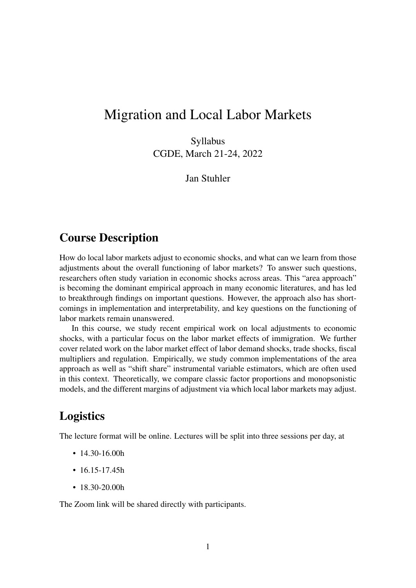## Migration and Local Labor Markets

Syllabus CGDE, March 21-24, 2022

Jan Stuhler

### Course Description

How do local labor markets adjust to economic shocks, and what can we learn from those adjustments about the overall functioning of labor markets? To answer such questions, researchers often study variation in economic shocks across areas. This "area approach" is becoming the dominant empirical approach in many economic literatures, and has led to breakthrough findings on important questions. However, the approach also has shortcomings in implementation and interpretability, and key questions on the functioning of labor markets remain unanswered.

In this course, we study recent empirical work on local adjustments to economic shocks, with a particular focus on the labor market effects of immigration. We further cover related work on the labor market effect of labor demand shocks, trade shocks, fiscal multipliers and regulation. Empirically, we study common implementations of the area approach as well as "shift share" instrumental variable estimators, which are often used in this context. Theoretically, we compare classic factor proportions and monopsonistic models, and the different margins of adjustment via which local labor markets may adjust.

### Logistics

The lecture format will be online. Lectures will be split into three sessions per day, at

- 14.30-16.00h
- $16.15 17.45h$
- 18.30-20.00h

The Zoom link will be shared directly with participants.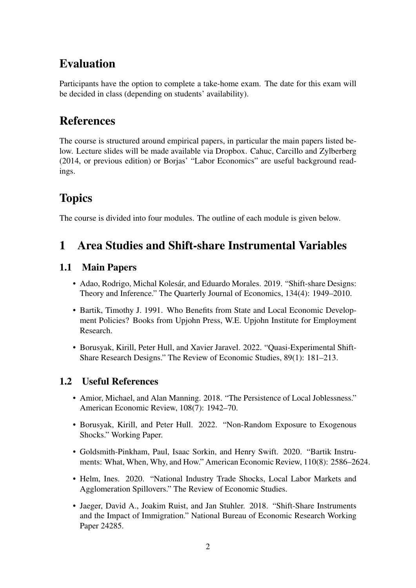## Evaluation

Participants have the option to complete a take-home exam. The date for this exam will be decided in class (depending on students' availability).

### References

The course is structured around empirical papers, in particular the main papers listed below. Lecture slides will be made available via Dropbox. Cahuc, Carcillo and Zylberberg (2014, or previous edition) or Borjas' "Labor Economics" are useful background readings.

# **Topics**

The course is divided into four modules. The outline of each module is given below.

### 1 Area Studies and Shift-share Instrumental Variables

#### 1.1 Main Papers

- Adao, Rodrigo, Michal Kolesár, and Eduardo Morales. 2019. "Shift-share Designs: Theory and Inference." The Quarterly Journal of Economics, 134(4): 1949–2010.
- Bartik, Timothy J. 1991. Who Benefits from State and Local Economic Development Policies? Books from Upjohn Press, W.E. Upjohn Institute for Employment Research.
- Borusyak, Kirill, Peter Hull, and Xavier Jaravel. 2022. "Quasi-Experimental Shift-Share Research Designs." The Review of Economic Studies, 89(1): 181–213.

- Amior, Michael, and Alan Manning. 2018. "The Persistence of Local Joblessness." American Economic Review, 108(7): 1942–70.
- Borusyak, Kirill, and Peter Hull. 2022. "Non-Random Exposure to Exogenous Shocks." Working Paper.
- Goldsmith-Pinkham, Paul, Isaac Sorkin, and Henry Swift. 2020. "Bartik Instruments: What, When, Why, and How." American Economic Review, 110(8): 2586–2624.
- Helm, Ines. 2020. "National Industry Trade Shocks, Local Labor Markets and Agglomeration Spillovers." The Review of Economic Studies.
- Jaeger, David A., Joakim Ruist, and Jan Stuhler. 2018. "Shift-Share Instruments and the Impact of Immigration." National Bureau of Economic Research Working Paper 24285.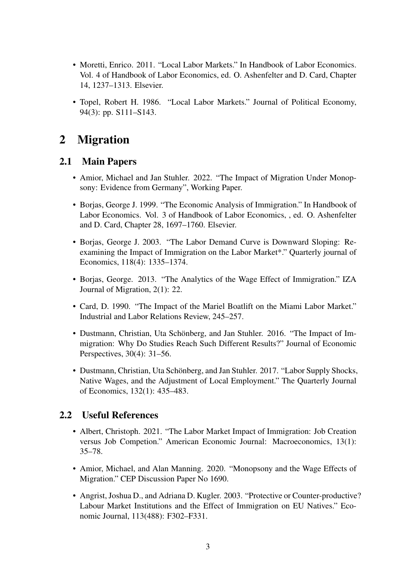- Moretti, Enrico. 2011. "Local Labor Markets." In Handbook of Labor Economics. Vol. 4 of Handbook of Labor Economics, ed. O. Ashenfelter and D. Card, Chapter 14, 1237–1313. Elsevier.
- Topel, Robert H. 1986. "Local Labor Markets." Journal of Political Economy, 94(3): pp. S111–S143.

### 2 Migration

#### 2.1 Main Papers

- Amior, Michael and Jan Stuhler. 2022. "The Impact of Migration Under Monopsony: Evidence from Germany", Working Paper.
- Borjas, George J. 1999. "The Economic Analysis of Immigration." In Handbook of Labor Economics. Vol. 3 of Handbook of Labor Economics, , ed. O. Ashenfelter and D. Card, Chapter 28, 1697–1760. Elsevier.
- Borjas, George J. 2003. "The Labor Demand Curve is Downward Sloping: Reexamining the Impact of Immigration on the Labor Market\*." Quarterly journal of Economics, 118(4): 1335–1374.
- Borjas, George. 2013. "The Analytics of the Wage Effect of Immigration." IZA Journal of Migration, 2(1): 22.
- Card, D. 1990. "The Impact of the Mariel Boatlift on the Miami Labor Market." Industrial and Labor Relations Review, 245–257.
- Dustmann, Christian, Uta Schönberg, and Jan Stuhler. 2016. "The Impact of Immigration: Why Do Studies Reach Such Different Results?" Journal of Economic Perspectives, 30(4): 31–56.
- Dustmann, Christian, Uta Schönberg, and Jan Stuhler. 2017. "Labor Supply Shocks, Native Wages, and the Adjustment of Local Employment." The Quarterly Journal of Economics, 132(1): 435–483.

- Albert, Christoph. 2021. "The Labor Market Impact of Immigration: Job Creation versus Job Competion." American Economic Journal: Macroeconomics, 13(1): 35–78.
- Amior, Michael, and Alan Manning. 2020. "Monopsony and the Wage Effects of Migration." CEP Discussion Paper No 1690.
- Angrist, Joshua D., and Adriana D. Kugler. 2003. "Protective or Counter-productive? Labour Market Institutions and the Effect of Immigration on EU Natives." Economic Journal, 113(488): F302–F331.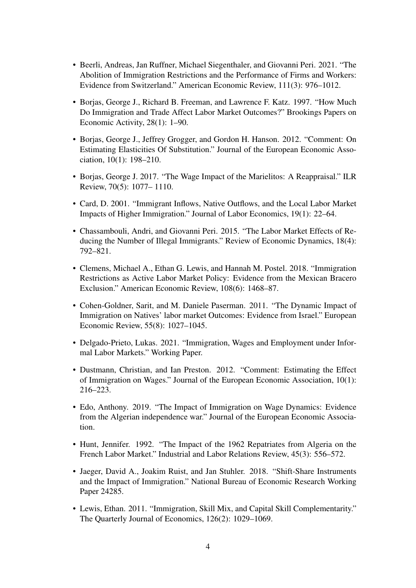- Beerli, Andreas, Jan Ruffner, Michael Siegenthaler, and Giovanni Peri. 2021. "The Abolition of Immigration Restrictions and the Performance of Firms and Workers: Evidence from Switzerland." American Economic Review, 111(3): 976–1012.
- Borjas, George J., Richard B. Freeman, and Lawrence F. Katz. 1997. "How Much Do Immigration and Trade Affect Labor Market Outcomes?" Brookings Papers on Economic Activity, 28(1): 1–90.
- Borjas, George J., Jeffrey Grogger, and Gordon H. Hanson. 2012. "Comment: On Estimating Elasticities Of Substitution." Journal of the European Economic Association, 10(1): 198–210.
- Borjas, George J. 2017. "The Wage Impact of the Marielitos: A Reappraisal." ILR Review, 70(5): 1077– 1110.
- Card, D. 2001. "Immigrant Inflows, Native Outflows, and the Local Labor Market Impacts of Higher Immigration." Journal of Labor Economics, 19(1): 22–64.
- Chassambouli, Andri, and Giovanni Peri. 2015. "The Labor Market Effects of Reducing the Number of Illegal Immigrants." Review of Economic Dynamics, 18(4): 792–821.
- Clemens, Michael A., Ethan G. Lewis, and Hannah M. Postel. 2018. "Immigration Restrictions as Active Labor Market Policy: Evidence from the Mexican Bracero Exclusion." American Economic Review, 108(6): 1468–87.
- Cohen-Goldner, Sarit, and M. Daniele Paserman. 2011. "The Dynamic Impact of Immigration on Natives' labor market Outcomes: Evidence from Israel." European Economic Review, 55(8): 1027–1045.
- Delgado-Prieto, Lukas. 2021. "Immigration, Wages and Employment under Informal Labor Markets." Working Paper.
- Dustmann, Christian, and Ian Preston. 2012. "Comment: Estimating the Effect of Immigration on Wages." Journal of the European Economic Association, 10(1): 216–223.
- Edo, Anthony. 2019. "The Impact of Immigration on Wage Dynamics: Evidence from the Algerian independence war." Journal of the European Economic Association.
- Hunt, Jennifer. 1992. "The Impact of the 1962 Repatriates from Algeria on the French Labor Market." Industrial and Labor Relations Review, 45(3): 556–572.
- Jaeger, David A., Joakim Ruist, and Jan Stuhler. 2018. "Shift-Share Instruments and the Impact of Immigration." National Bureau of Economic Research Working Paper 24285.
- Lewis, Ethan. 2011. "Immigration, Skill Mix, and Capital Skill Complementarity." The Quarterly Journal of Economics, 126(2): 1029–1069.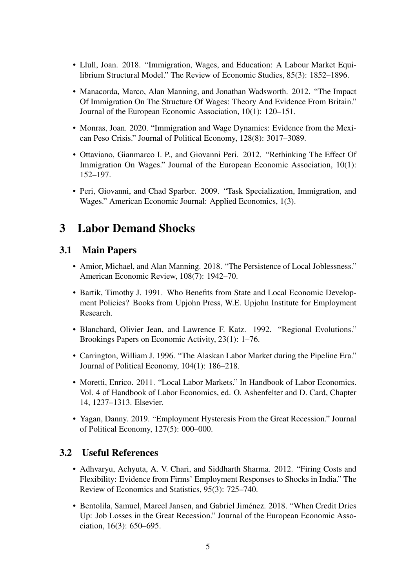- Llull, Joan. 2018. "Immigration, Wages, and Education: A Labour Market Equilibrium Structural Model." The Review of Economic Studies, 85(3): 1852–1896.
- Manacorda, Marco, Alan Manning, and Jonathan Wadsworth. 2012. "The Impact Of Immigration On The Structure Of Wages: Theory And Evidence From Britain." Journal of the European Economic Association, 10(1): 120–151.
- Monras, Joan. 2020. "Immigration and Wage Dynamics: Evidence from the Mexican Peso Crisis." Journal of Political Economy, 128(8): 3017–3089.
- Ottaviano, Gianmarco I. P., and Giovanni Peri. 2012. "Rethinking The Effect Of Immigration On Wages." Journal of the European Economic Association, 10(1): 152–197.
- Peri, Giovanni, and Chad Sparber. 2009. "Task Specialization, Immigration, and Wages." American Economic Journal: Applied Economics, 1(3).

### 3 Labor Demand Shocks

#### 3.1 Main Papers

- Amior, Michael, and Alan Manning. 2018. "The Persistence of Local Joblessness." American Economic Review, 108(7): 1942–70.
- Bartik, Timothy J. 1991. Who Benefits from State and Local Economic Development Policies? Books from Upjohn Press, W.E. Upjohn Institute for Employment Research.
- Blanchard, Olivier Jean, and Lawrence F. Katz. 1992. "Regional Evolutions." Brookings Papers on Economic Activity, 23(1): 1–76.
- Carrington, William J. 1996. "The Alaskan Labor Market during the Pipeline Era." Journal of Political Economy, 104(1): 186–218.
- Moretti, Enrico. 2011. "Local Labor Markets." In Handbook of Labor Economics. Vol. 4 of Handbook of Labor Economics, ed. O. Ashenfelter and D. Card, Chapter 14, 1237–1313. Elsevier.
- Yagan, Danny. 2019. "Employment Hysteresis From the Great Recession." Journal of Political Economy, 127(5): 000–000.

- Adhvaryu, Achyuta, A. V. Chari, and Siddharth Sharma. 2012. "Firing Costs and Flexibility: Evidence from Firms' Employment Responses to Shocks in India." The Review of Economics and Statistics, 95(3): 725–740.
- Bentolila, Samuel, Marcel Jansen, and Gabriel Jiménez. 2018. "When Credit Dries Up: Job Losses in the Great Recession." Journal of the European Economic Association, 16(3): 650–695.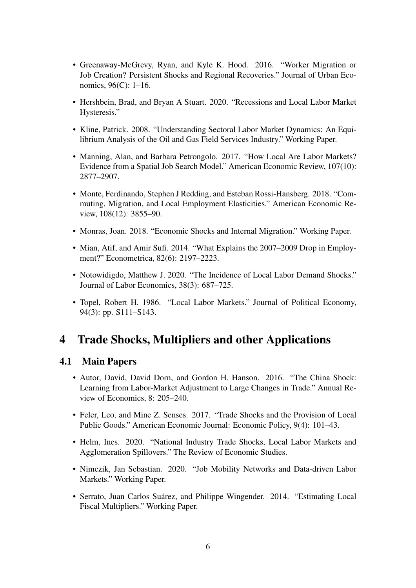- Greenaway-McGrevy, Ryan, and Kyle K. Hood. 2016. "Worker Migration or Job Creation? Persistent Shocks and Regional Recoveries." Journal of Urban Economics, 96(C): 1–16.
- Hershbein, Brad, and Bryan A Stuart. 2020. "Recessions and Local Labor Market Hysteresis."
- Kline, Patrick. 2008. "Understanding Sectoral Labor Market Dynamics: An Equilibrium Analysis of the Oil and Gas Field Services Industry." Working Paper.
- Manning, Alan, and Barbara Petrongolo. 2017. "How Local Are Labor Markets? Evidence from a Spatial Job Search Model." American Economic Review, 107(10): 2877–2907.
- Monte, Ferdinando, Stephen J Redding, and Esteban Rossi-Hansberg. 2018. "Commuting, Migration, and Local Employment Elasticities." American Economic Review, 108(12): 3855–90.
- Monras, Joan. 2018. "Economic Shocks and Internal Migration." Working Paper.
- Mian, Atif, and Amir Sufi. 2014. "What Explains the 2007–2009 Drop in Employment?" Econometrica, 82(6): 2197–2223.
- Notowidigdo, Matthew J. 2020. "The Incidence of Local Labor Demand Shocks." Journal of Labor Economics, 38(3): 687–725.
- Topel, Robert H. 1986. "Local Labor Markets." Journal of Political Economy, 94(3): pp. S111–S143.

### 4 Trade Shocks, Multipliers and other Applications

#### 4.1 Main Papers

- Autor, David, David Dorn, and Gordon H. Hanson. 2016. "The China Shock: Learning from Labor-Market Adjustment to Large Changes in Trade." Annual Review of Economics, 8: 205–240.
- Feler, Leo, and Mine Z. Senses. 2017. "Trade Shocks and the Provision of Local Public Goods." American Economic Journal: Economic Policy, 9(4): 101–43.
- Helm, Ines. 2020. "National Industry Trade Shocks, Local Labor Markets and Agglomeration Spillovers." The Review of Economic Studies.
- Nimczik, Jan Sebastian. 2020. "Job Mobility Networks and Data-driven Labor Markets." Working Paper.
- Serrato, Juan Carlos Suárez, and Philippe Wingender. 2014. "Estimating Local Fiscal Multipliers." Working Paper.